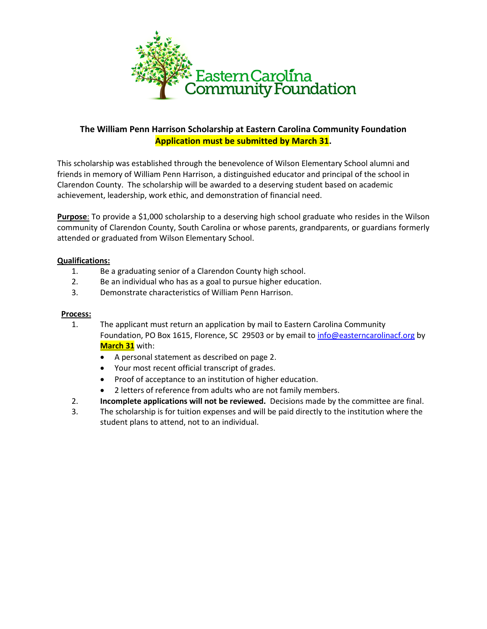

# **The William Penn Harrison Scholarship at Eastern Carolina Community Foundation Application must be submitted by March 31.**

This scholarship was established through the benevolence of Wilson Elementary School alumni and friends in memory of William Penn Harrison, a distinguished educator and principal of the school in Clarendon County. The scholarship will be awarded to a deserving student based on academic achievement, leadership, work ethic, and demonstration of financial need.

**Purpose**: To provide a \$1,000 scholarship to a deserving high school graduate who resides in the Wilson community of Clarendon County, South Carolina or whose parents, grandparents, or guardians formerly attended or graduated from Wilson Elementary School.

#### **Qualifications:**

- 1. Be a graduating senior of a Clarendon County high school.
- 2. Be an individual who has as a goal to pursue higher education.
- 3. Demonstrate characteristics of William Penn Harrison.

#### **Process:**

- 1. The applicant must return an application by mail to Eastern Carolina Community Foundation, PO Box 1615, Florence, SC 29503 or by email to [info@easterncarolinacf.org](mailto:info@easterncarolinacf.org) by **March 31** with:
	- A personal statement as described on page 2.
	- Your most recent official transcript of grades.
	- Proof of acceptance to an institution of higher education.
	- 2 letters of reference from adults who are not family members.
- 2. **Incomplete applications will not be reviewed.** Decisions made by the committee are final.
- 3. The scholarship is for tuition expenses and will be paid directly to the institution where the student plans to attend, not to an individual.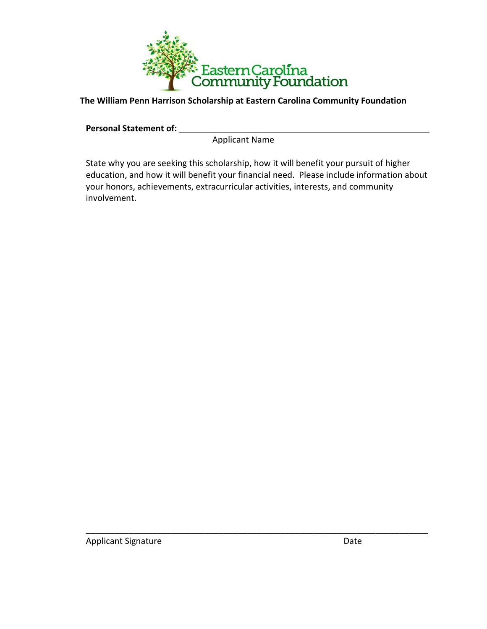

**The William Penn Harrison Scholarship at Eastern Carolina Community Foundation**

**Personal Statement of:** 

Applicant Name

State why you are seeking this scholarship, how it will benefit your pursuit of higher education, and how it will benefit your financial need. Please include information about your honors, achievements, extracurricular activities, interests, and community involvement.

\_\_\_\_\_\_\_\_\_\_\_\_\_\_\_\_\_\_\_\_\_\_\_\_\_\_\_\_\_\_\_\_\_\_\_\_\_\_\_\_\_\_\_\_\_\_\_\_\_\_\_\_\_\_\_\_\_\_\_\_\_\_\_\_\_\_\_\_\_\_\_\_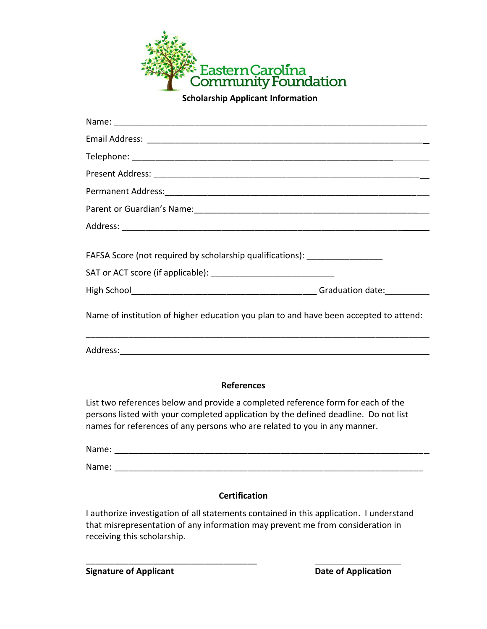

 **Scholarship Applicant Information**

| <b>References</b>                                                                     |
|---------------------------------------------------------------------------------------|
|                                                                                       |
|                                                                                       |
| Name of institution of higher education you plan to and have been accepted to attend: |
|                                                                                       |
|                                                                                       |
| FAFSA Score (not required by scholarship qualifications): _____________________       |
|                                                                                       |
|                                                                                       |
|                                                                                       |
|                                                                                       |
|                                                                                       |
|                                                                                       |
|                                                                                       |

List two references below and provide a completed reference form for each of the persons listed with your completed application by the defined deadline. Do not list names for references of any persons who are related to you in any manner.

Name: \_\_\_\_\_\_\_\_\_\_\_\_\_\_\_\_\_\_\_\_\_\_\_\_\_\_\_\_\_\_\_\_\_\_\_\_\_\_\_\_\_\_\_\_\_\_\_\_\_\_\_\_\_\_\_\_\_\_\_\_\_\_\_\_\_

Name: \_\_\_\_\_\_\_\_\_\_\_\_\_\_\_\_\_\_\_\_\_\_\_\_\_\_\_\_\_\_\_\_\_\_\_\_\_\_\_\_\_\_\_\_\_\_\_\_\_\_\_\_\_\_\_\_\_\_\_\_\_\_\_\_\_

## **Certification**

I authorize investigation of all statements contained in this application. I understand that misrepresentation of any information may prevent me from consideration in receiving this scholarship.

**Signature of Applicant Date of Application** 

\_\_\_\_\_\_\_\_\_\_\_\_\_\_\_\_\_\_\_\_\_\_\_\_\_\_\_\_\_\_\_\_\_\_\_\_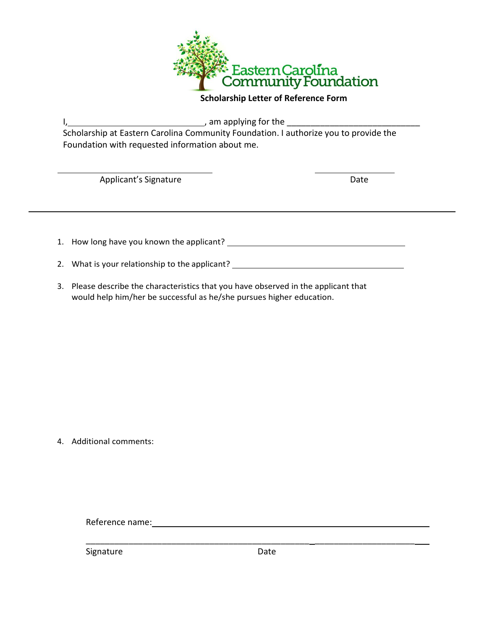

### **Scholarship Letter of Reference Form**

I, 1, 2008) 1, 2008 1, 2008 1, 2008 1, 2008 1, 2008 1, 2008 1, 2008 1, 2008 1, 2008 1, 2008 1, 2008 1, 2008 1, 200

Scholarship at Eastern Carolina Community Foundation. I authorize you to provide the Foundation with requested information about me.

**Applicant's Signature Date** Date

1. How long have you known the applicant?

- 2. What is your relationship to the applicant? \_\_\_\_\_\_\_\_\_\_\_\_\_\_\_\_\_\_\_\_\_\_\_\_\_\_\_\_\_\_\_\_\_\_
- 3. Please describe the characteristics that you have observed in the applicant that would help him/her be successful as he/she pursues higher education.

4. Additional comments:

Reference name: www.assett.com/www.assett.com/www.assett.com/www.assett.com/www.assett.com/www.asset

Signature Date

\_\_\_\_\_\_\_\_\_\_\_\_\_\_\_\_\_\_\_\_\_\_\_\_\_\_\_\_\_\_\_\_\_\_\_\_\_\_\_\_\_\_\_\_\_\_\_ \_\_\_\_\_\_\_\_\_\_\_\_\_\_\_\_\_\_\_\_\_